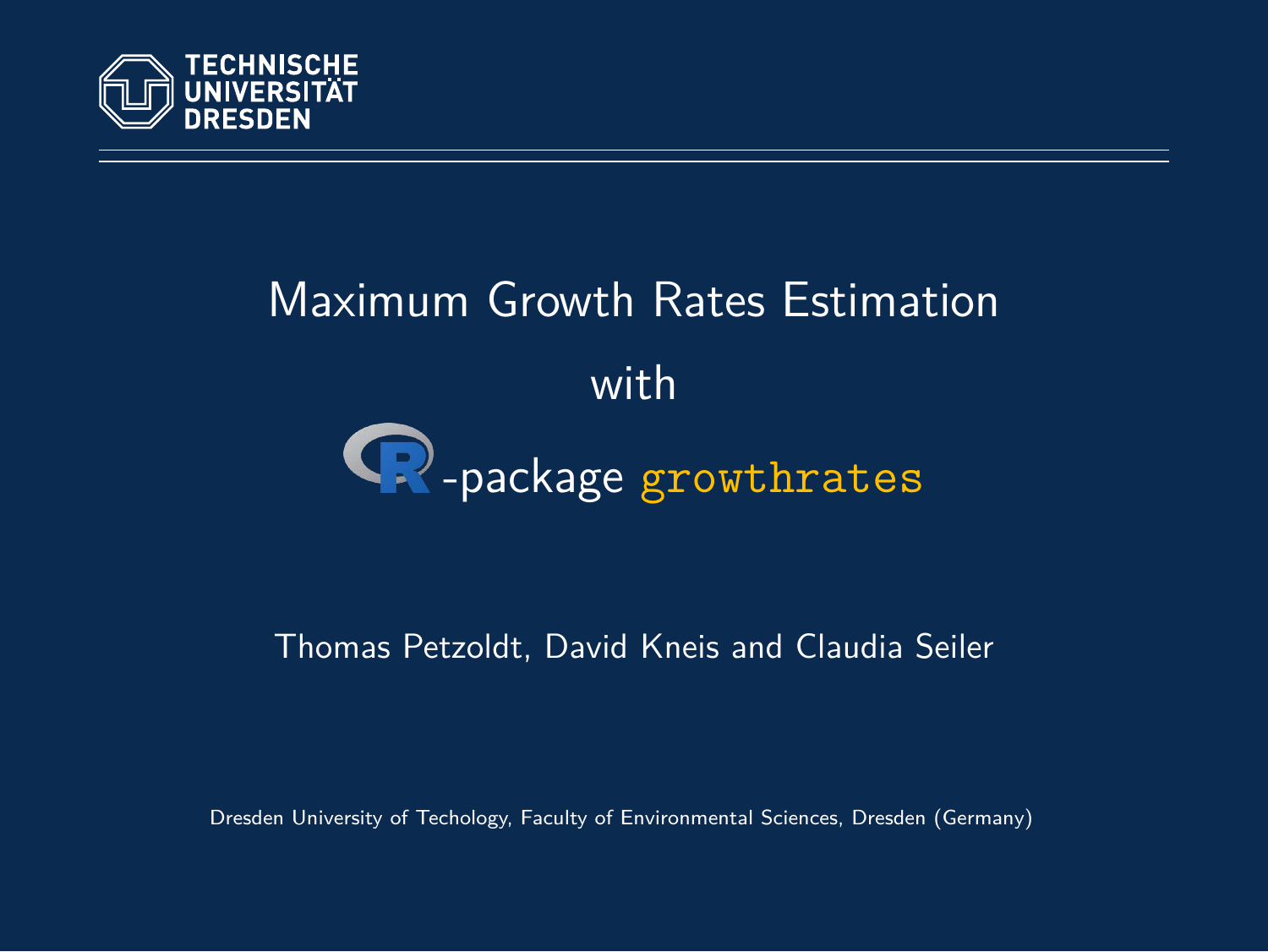

# Maximum Growth Rates Estimation with  $\bigcirc$ -package growthrates

#### Thomas Petzoldt, David Kneis and Claudia Seiler

Dresden University of Techology, Faculty of Environmental Sciences, Dresden (Germany)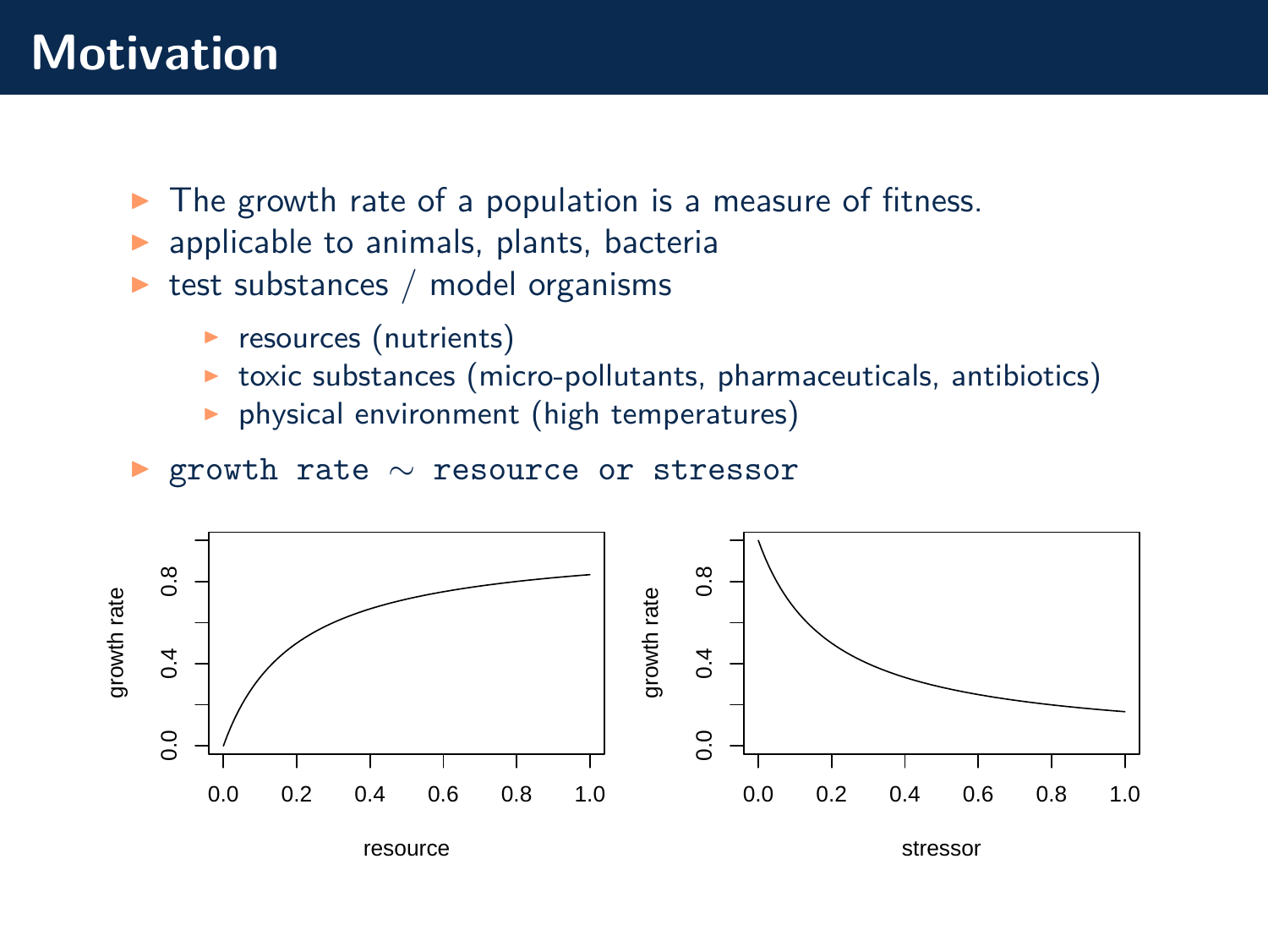## **Motivation**

- $\triangleright$  The growth rate of a population is a measure of fitness.
- $\blacktriangleright$  applicable to animals, plants, bacteria
- $\triangleright$  test substances / model organisms
	- $\blacktriangleright$  resources (nutrients)
	- $\triangleright$  toxic substances (micro-pollutants, pharmaceuticals, antibiotics)
	- $\triangleright$  physical environment (high temperatures)
- ◮ growth rate ∼ resource or stressor

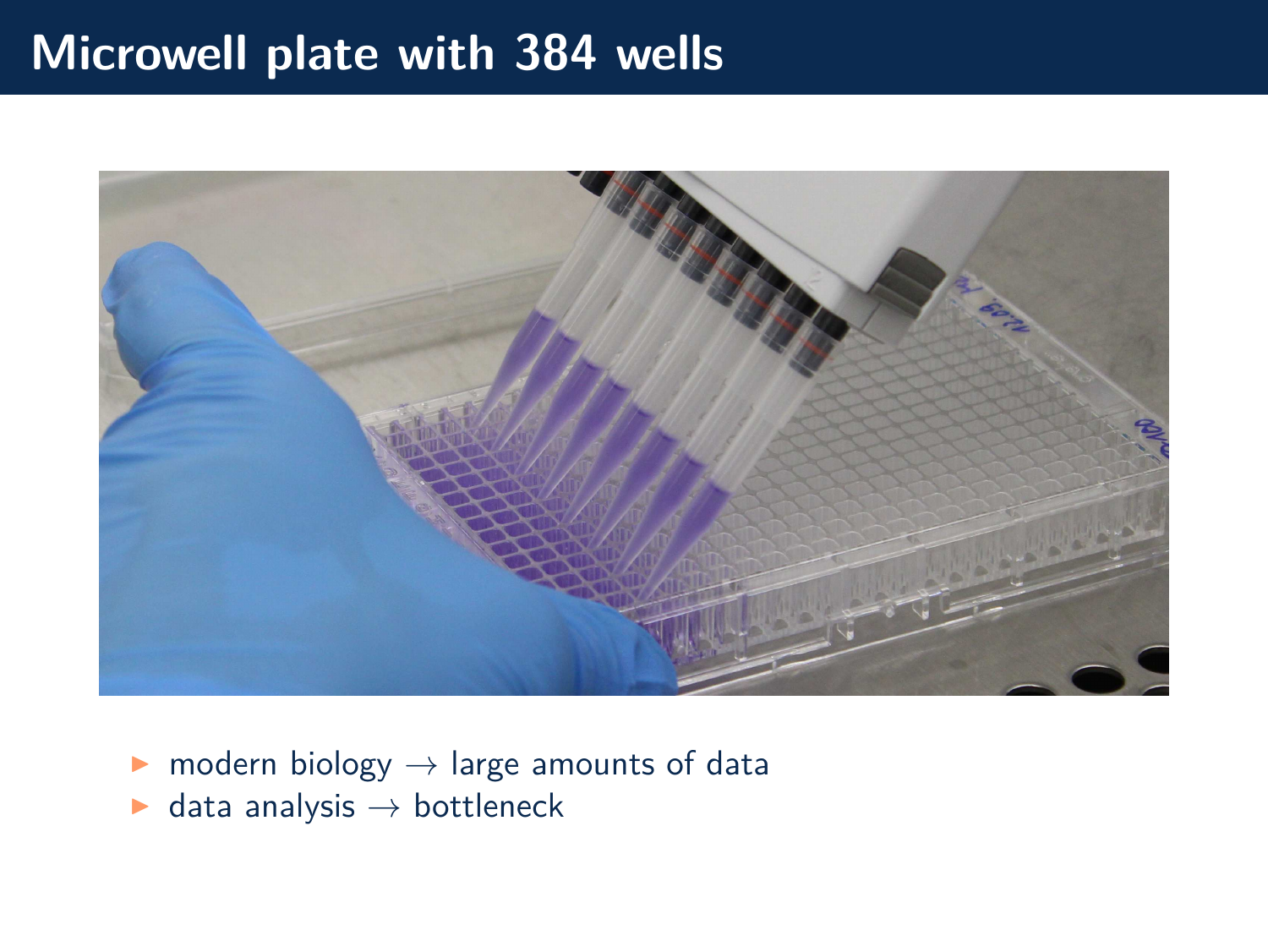## **Microwell plate with 384 wells**



- $\triangleright$  modern biology  $\rightarrow$  large amounts of data
- $\blacktriangleright$  data analysis  $\rightarrow$  bottleneck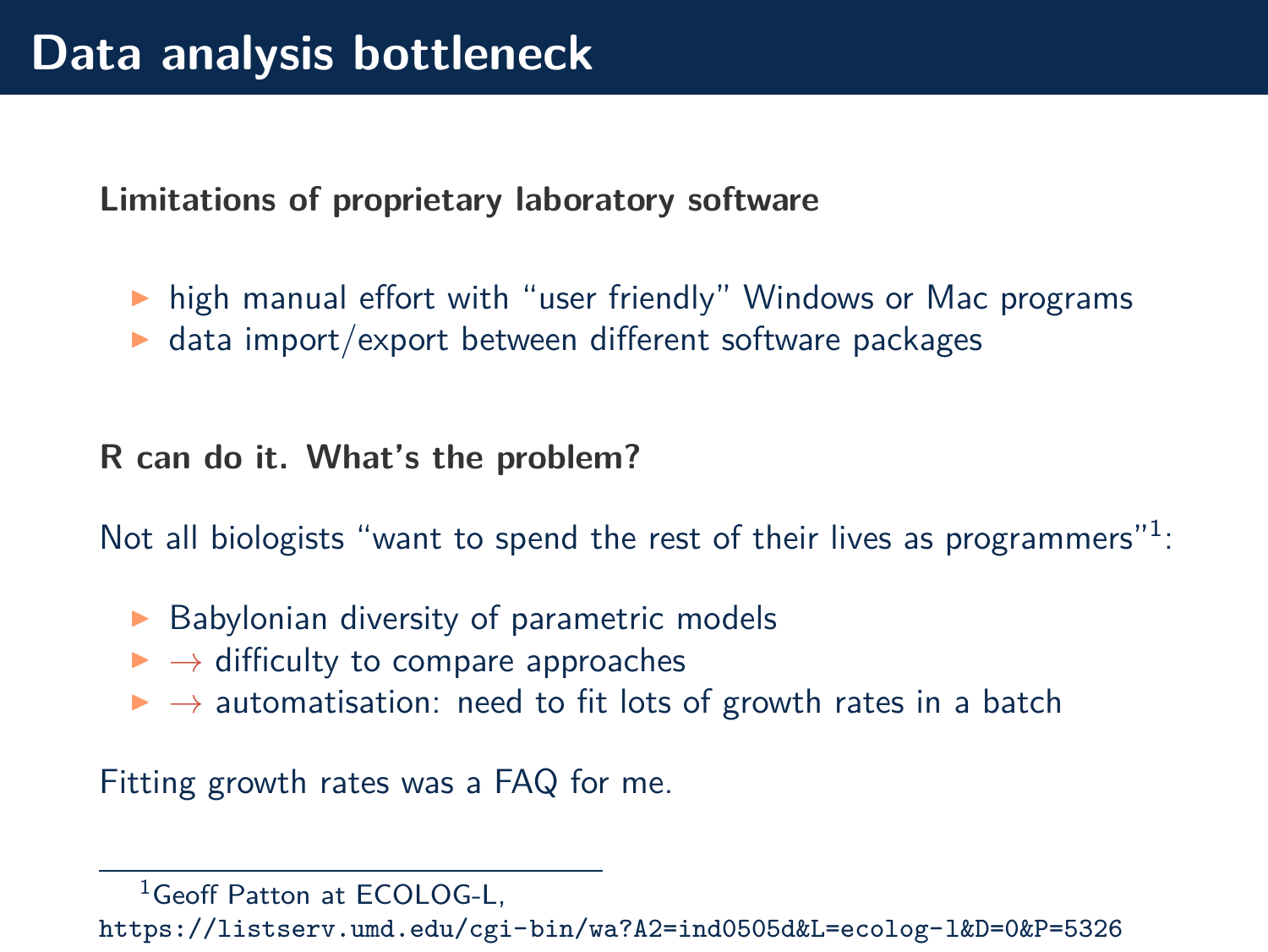**Limitations of proprietary laboratory software**

▶ high manual effort with "user friendly" Windows or Mac programs

 $\blacktriangleright$  data import/export between different software packages

**R can do it. What's the problem?**

Not all biologists "want to spend the rest of their lives as programmers" $1$ :

- $\triangleright$  Babylonian diversity of parametric models
- $\rightarrow$  difficulty to compare approaches
- $\rightarrow$  automatisation: need to fit lots of growth rates in a batch

Fitting growth rates was a FAQ for me.

 $1$ Geoff Patton at  $FCDLOG-I$ 

<https://listserv.umd.edu/cgi-bin/wa?A2=ind0505d&L=ecolog-l&D=0&P=5326>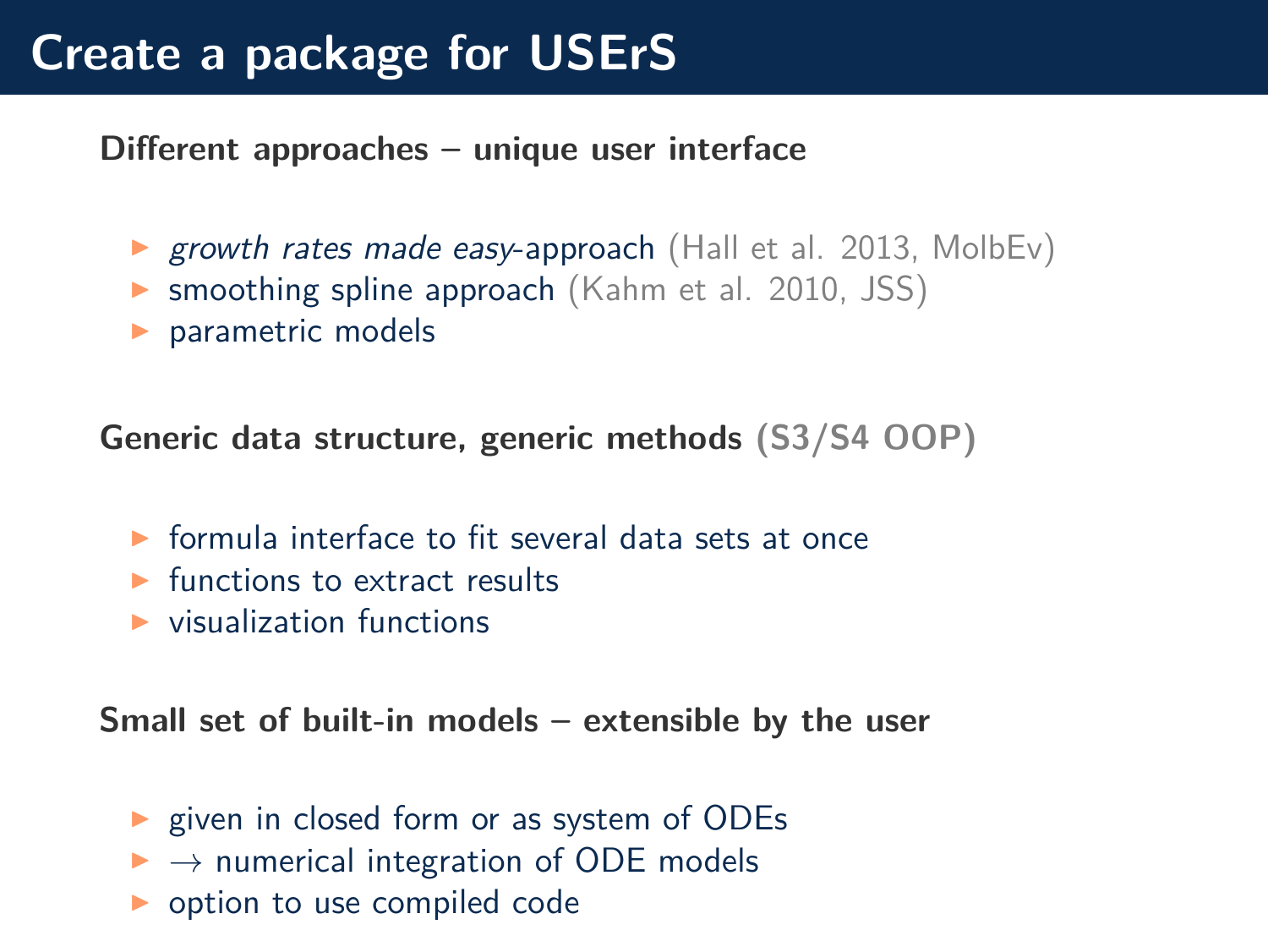# **Create a package for USErS**

**Different approaches – unique user interface**

- ▶ growth rates made easy-approach [\(Hall et al. 2013, MolbEv\)](https://dx.doi.org/10.1093/molbev/mst187)
- ▶ smoothing spline approach [\(Kahm et al. 2010, JSS\)](http://dx.doi.org/10.18637/jss.v033.i07)
- ▶ parametric models

**Generic data structure, generic methods (S3/S4 OOP)**

- $\triangleright$  formula interface to fit several data sets at once
- $\blacktriangleright$  functions to extract results
- $\blacktriangleright$  visualization functions

**Small set of built-in models – extensible by the user**

- ▶ given in closed form or as system of ODEs
- $\rightarrow$  numerical integration of ODE models
- ◮ option to use compiled code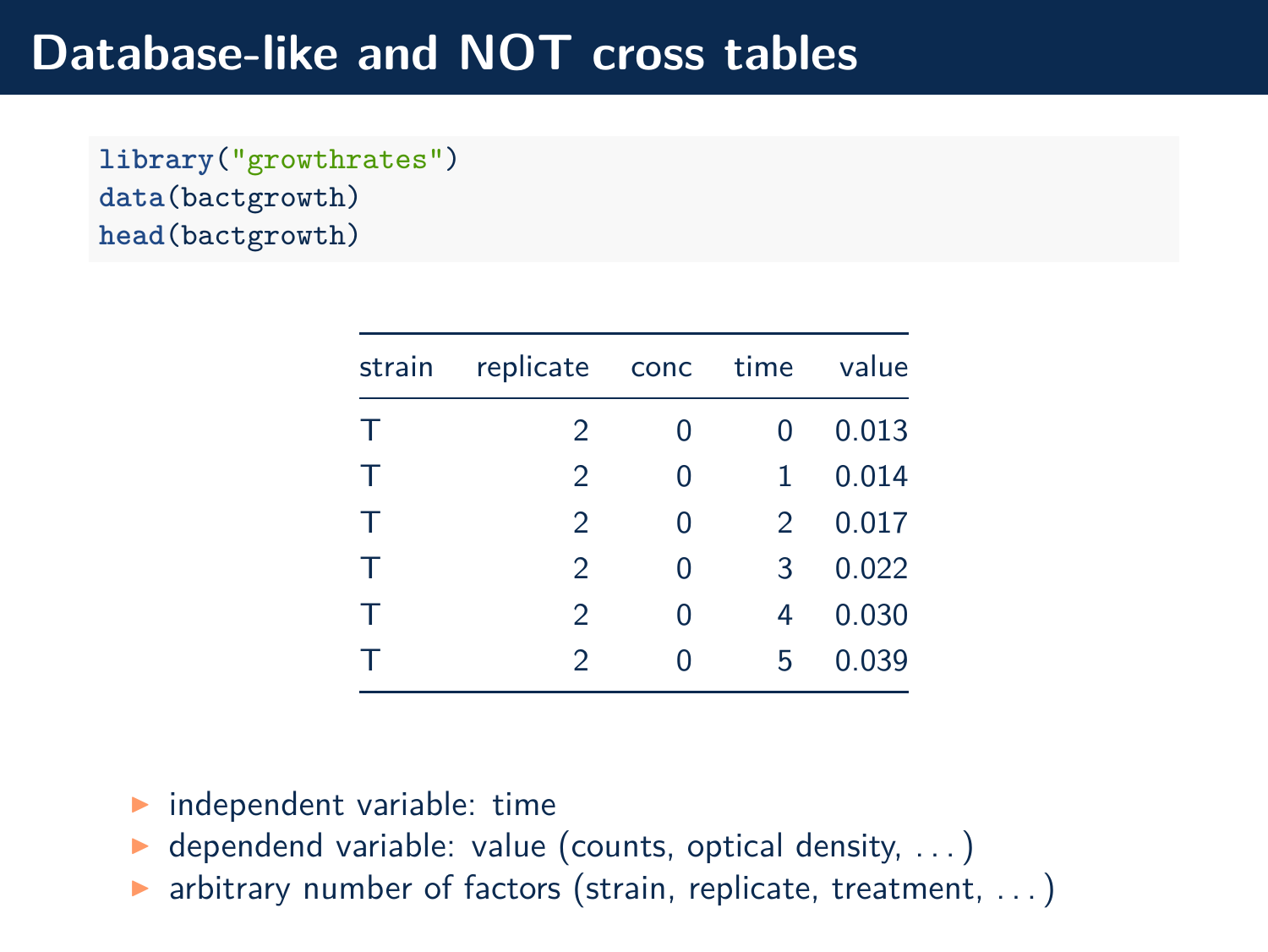## **Database-like and NOT cross tables**

**library**("growthrates") **data**(bactgrowth) **head**(bactgrowth)

| strain | replicate conc time value |   |               |       |
|--------|---------------------------|---|---------------|-------|
| Τ      | 2                         | 0 | 0             | 0.013 |
| Τ      | 2                         | 0 | 1             | 0.014 |
| т      | $\mathcal{P}$             | 0 | $\mathcal{P}$ | 0.017 |
| $\top$ | $\mathcal{P}$             | 0 | 3             | 0.022 |
| Τ      | $\mathcal{P}$             | 0 | 4             | 0.030 |
| т      | $\mathfrak{D}$            | 0 | 5             | 0.039 |

- $\blacktriangleright$  independent variable: time
- $\triangleright$  dependend variable: value (counts, optical density, ...)
- $\triangleright$  arbitrary number of factors (strain, replicate, treatment, ...)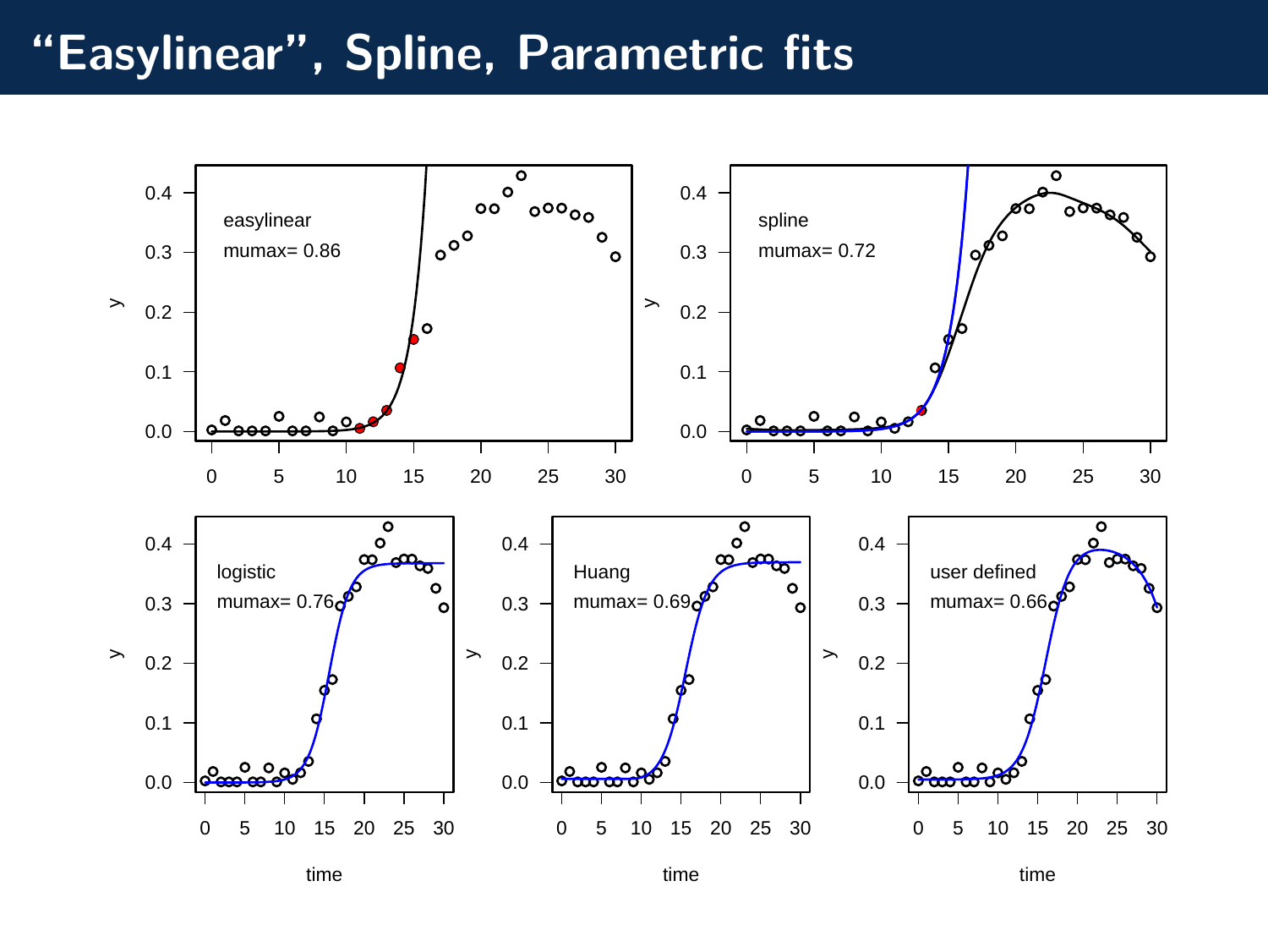## **"Easylinear", Spline, Parametric fits**

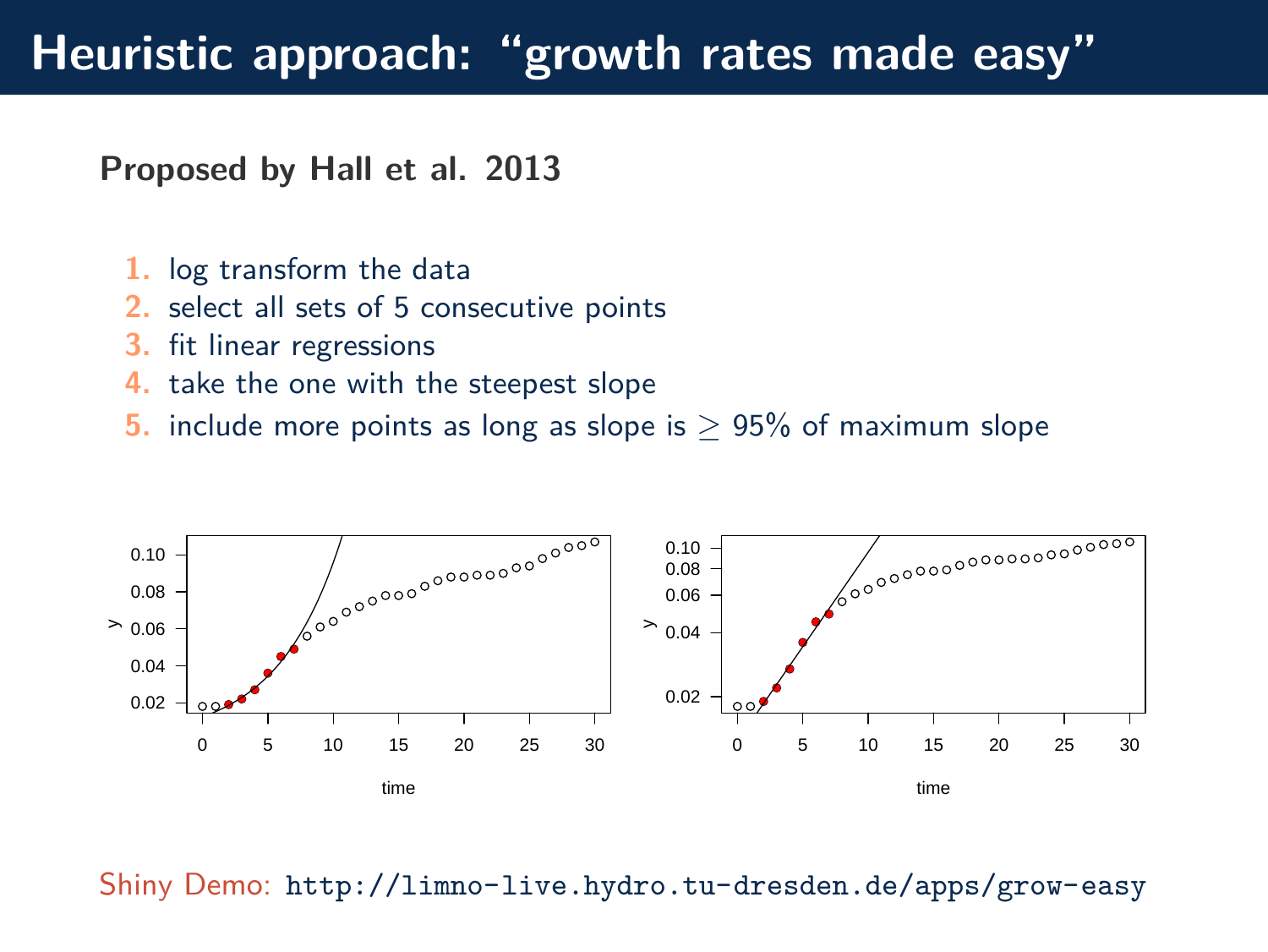# **Heuristic approach: "growth rates made easy"**

**Proposed by [Hall et al. 2013](https://dx.doi.org/10.1093/molbev/mst187)**

- **1.** log transform the data
- **2.** select all sets of 5 consecutive points
- **3.** fit linear regressions
- **4.** take the one with the steepest slope
- **5.** include more points as long as slope is ≥ 95% of maximum slope



Shiny Demo: <http://limno-live.hydro.tu-dresden.de/apps/grow-easy>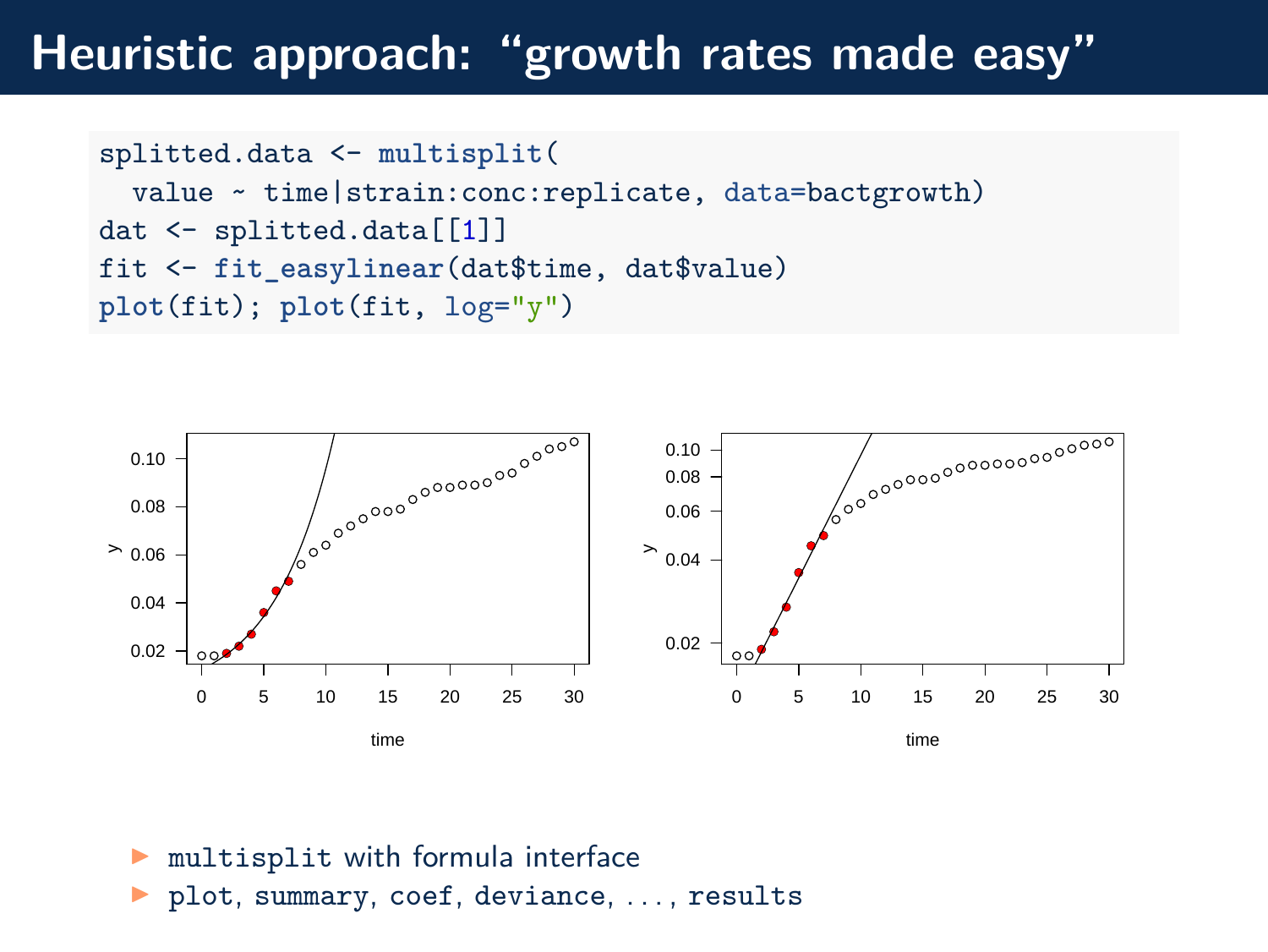## **Heuristic approach: "growth rates made easy"**

```
splitted.data <- multisplit(
 value ~ time|strain:conc:replicate, data=bactgrowth)
dat <- splitted.data[[1]]
fit <- fit_easylinear(dat$time, dat$value)
plot(fit); plot(fit, log="y")
```


- ◮ multisplit with formula interface
- plot, summary, coef, deviance, ..., results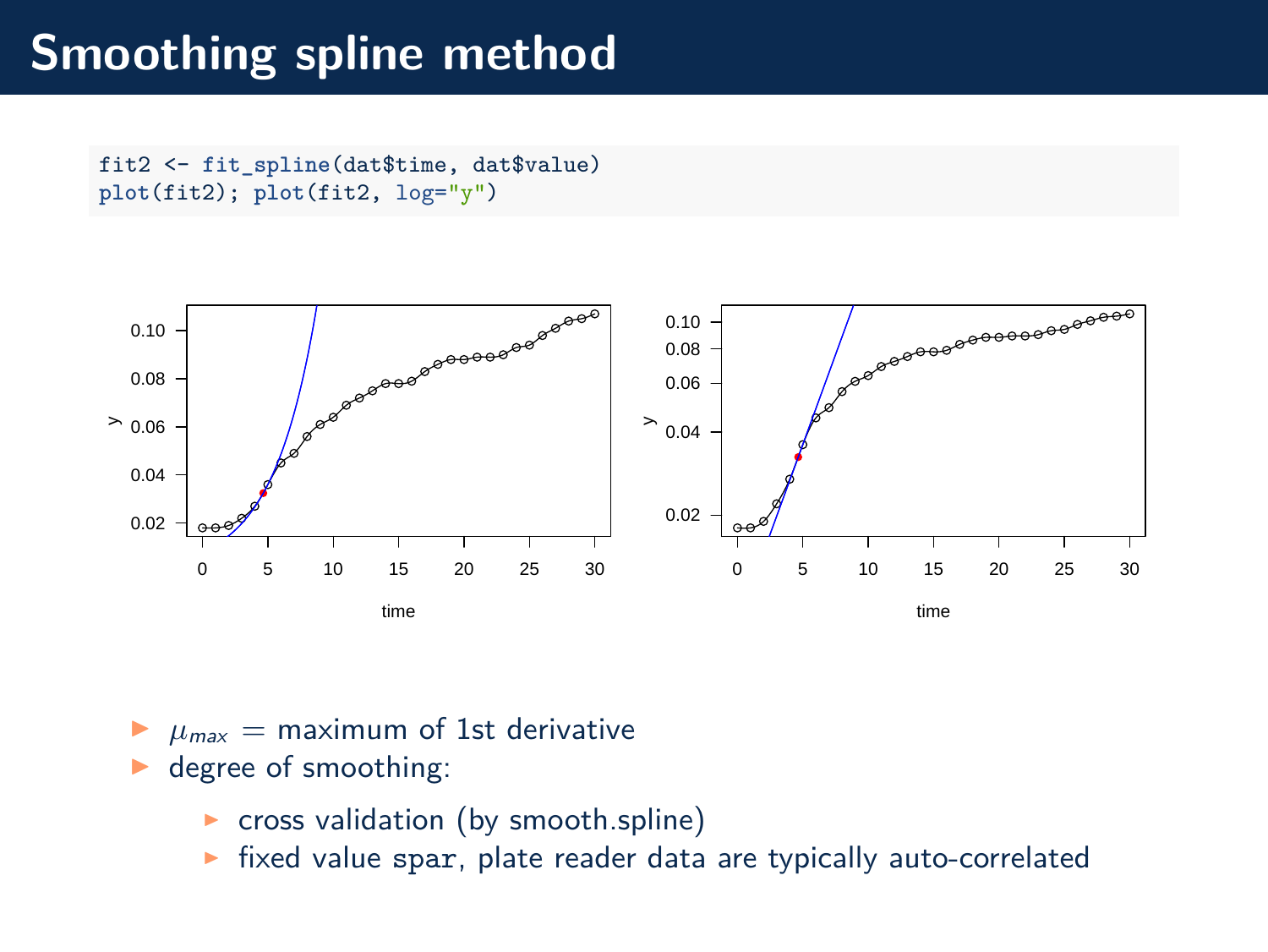## **Smoothing spline method**

fit2 <- **fit\_spline**(dat\$time, dat\$value) **plot**(fit2); **plot**(fit2, log="y")



- $\mu_{\text{max}} =$  maximum of 1st derivative
- degree of smoothing:
	- ▶ cross validation (by smooth.spline)
	- $\triangleright$  fixed value spar, plate reader data are typically auto-correlated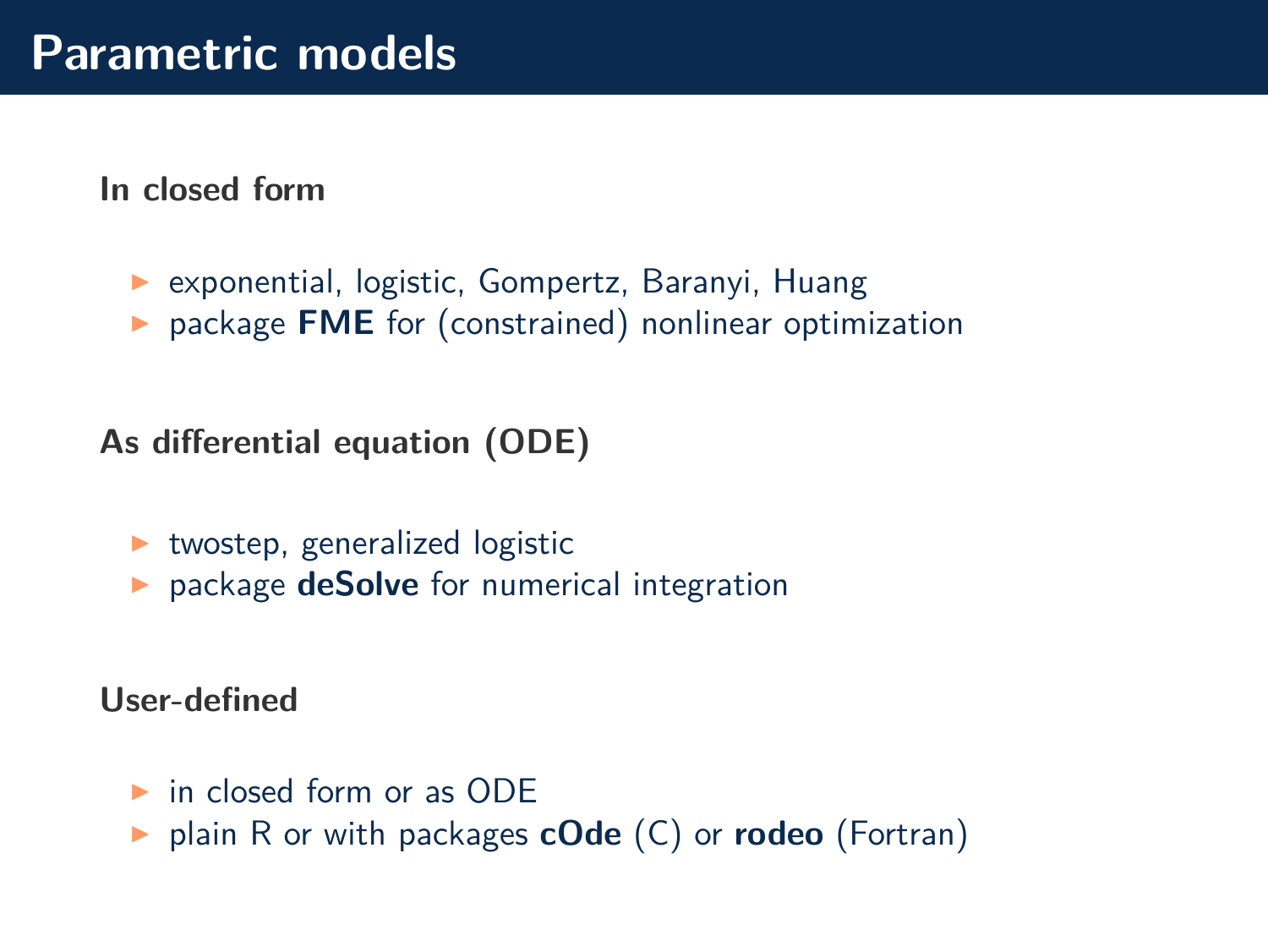**In closed form**

- ▶ exponential, logistic, Gompertz, Baranyi, Huang
- ▶ package **FME** for (constrained) nonlinear optimization

**As differential equation (ODE)**

- $\blacktriangleright$  twostep, generalized logistic
- ▶ package **[deSolve](http://desolve.r-forge.r-project.org)** for numerical integration

**User-defined**

- $\triangleright$  in closed form or as ODE
- ◮ plain R or with packages **[cOde](https://CRAN.R-project.org/package=cOde)** (C) or **[rodeo](https://github.com/dkneis/rodeo)** (Fortran)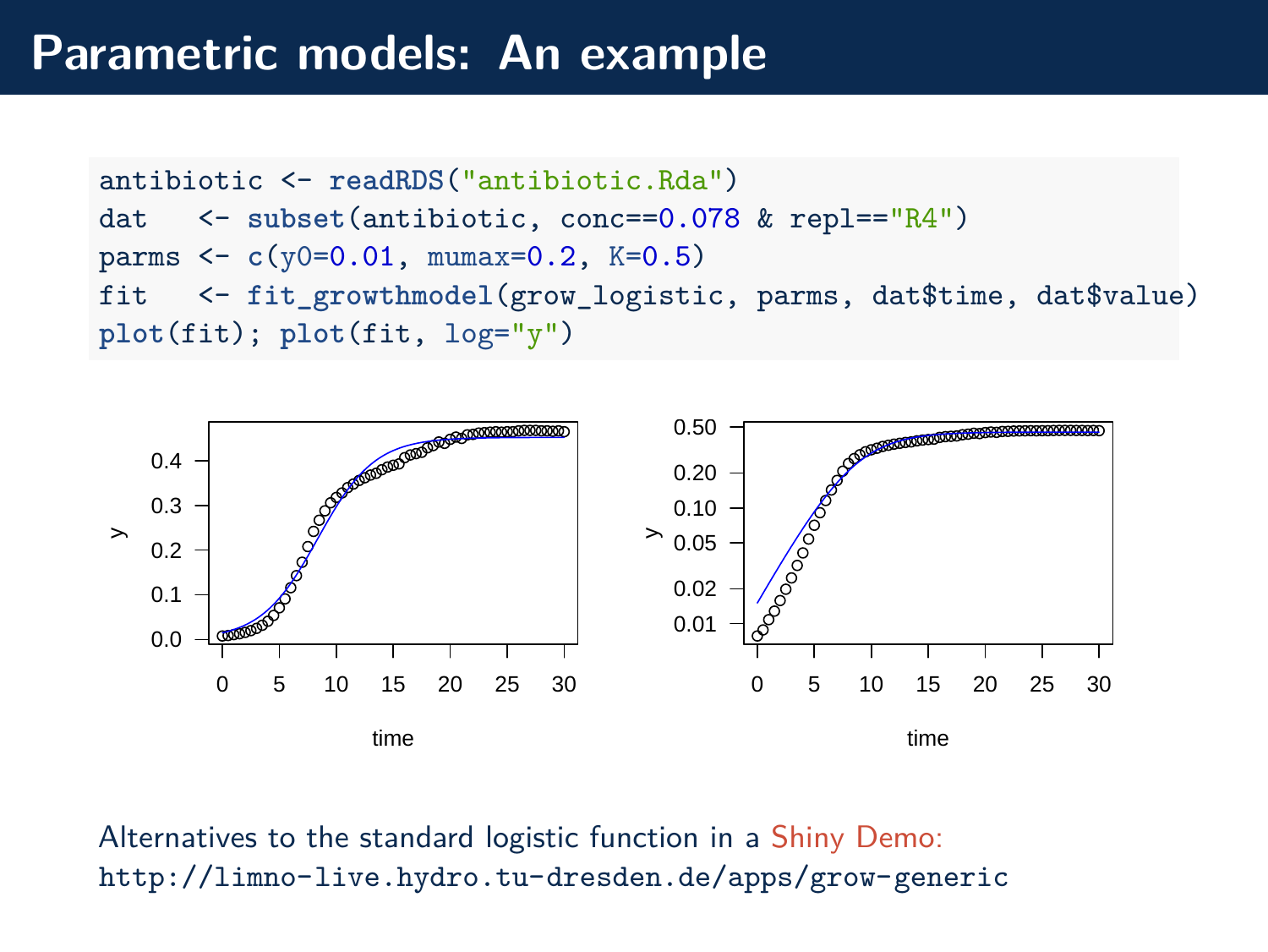### **Parametric models: An example**

```
antibiotic <- readRDS("antibiotic.Rda")
dat <- subset(antibiotic, conc==0.078 & repl=="R4")
parms <- c(y0=0.01, mumax=0.2, K=0.5)
fit <- fit_growthmodel(grow_logistic, parms, dat$time, dat$value)
plot(fit); plot(fit, log="y")
```


Alternatives to the standard logistic function in a [Shiny Demo:](http://limno-live.hydro.tu-dresden.de/apps/grow-generic) <http://limno-live.hydro.tu-dresden.de/apps/grow-generic>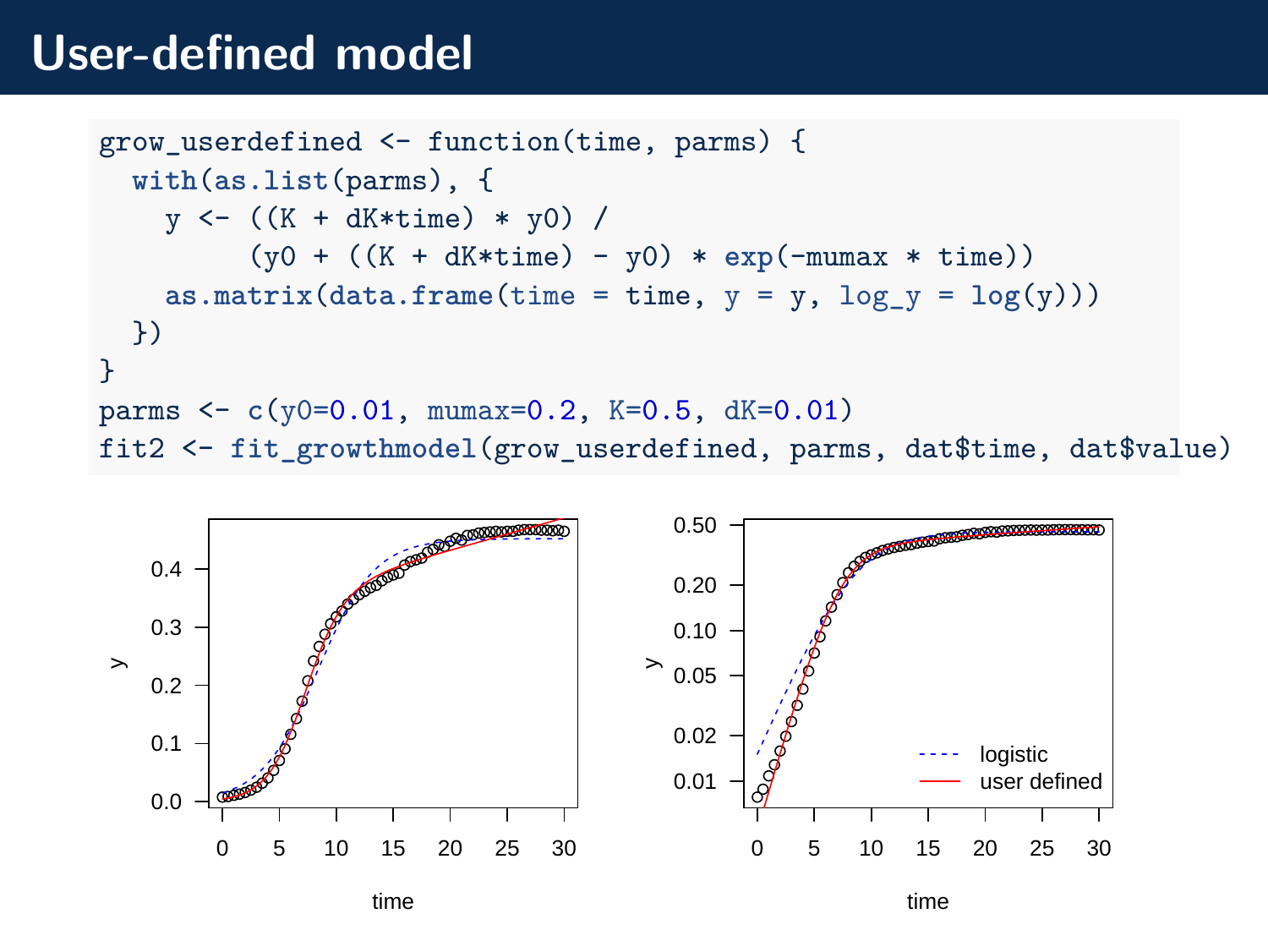## **User-defined model**

```
grow_userdefined <- function(time, parms) {
  with(as.list(parms), {
    y \leftarrow ((K + dK * time) * y0) /(y0 + ((K + dK*time) - y0) * exp(-mumax * time))
    \text{as.matrix}(\text{data.frame}(\text{time} = \text{time}, y = y, \text{log}_y = \text{log}(y)))})
}
parms <- c(y0=0.01, mumax=0.2, K=0.5, dK=0.01)
fit2 <- fit_growthmodel(grow_userdefined, parms, dat$time, dat$value)
```


time

time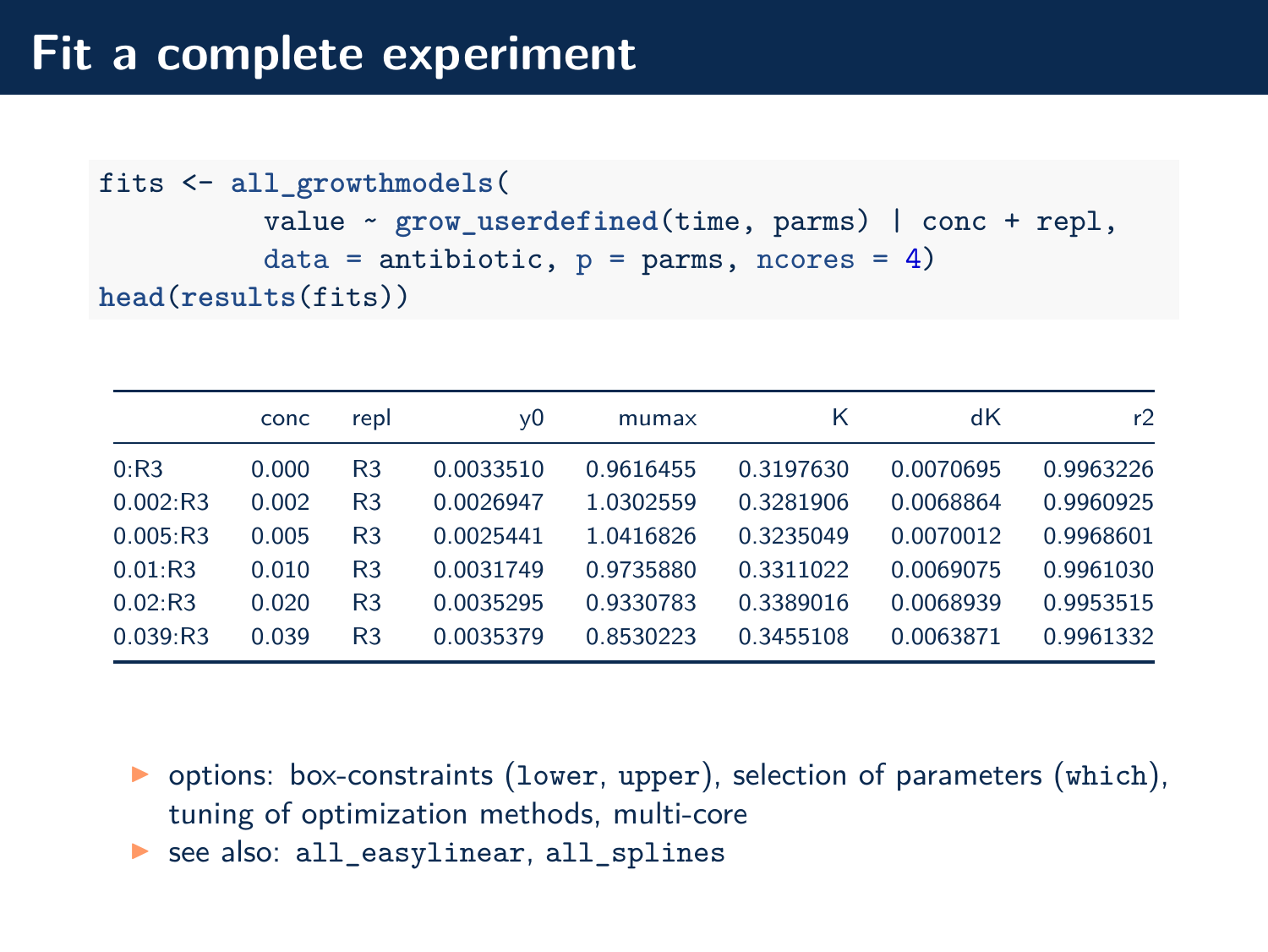# **Fit a complete experiment**

```
fits <- all_growthmodels(
          value ~ grow_userdefined(time, parms) | conc + repl,
          data = antibiotic, p = parms, ncores = 4)
head(results(fits))
```

|          | conc  | repl | v0        | mumax     | Κ         | dК        | r2        |
|----------|-------|------|-----------|-----------|-----------|-----------|-----------|
| 0:R3     | 0.000 | R3   | 0.0033510 | 0.9616455 | 0.3197630 | 0.0070695 | 0.9963226 |
| 0.002:R3 | 0.002 | R3   | 0.0026947 | 1.0302559 | 0.3281906 | 0.0068864 | 0.9960925 |
| 0.005:R3 | 0.005 | R3   | 0.0025441 | 1.0416826 | 0.3235049 | 0.0070012 | 0.9968601 |
| 0.01:R3  | 0.010 | R3   | 0.0031749 | 0.9735880 | 0.3311022 | 0.0069075 | 0.9961030 |
| 0.02:R3  | 0.020 | R3   | 0.0035295 | 0.9330783 | 0.3389016 | 0.0068939 | 0.9953515 |
| 0.039:R3 | 0.039 | R3   | 0.0035379 | 0.8530223 | 0.3455108 | 0.0063871 | 0.9961332 |

- $\triangleright$  options: box-constraints (lower, upper), selection of parameters (which), tuning of optimization methods, multi-core
- ▶ see also: all\_easylinear, all\_splines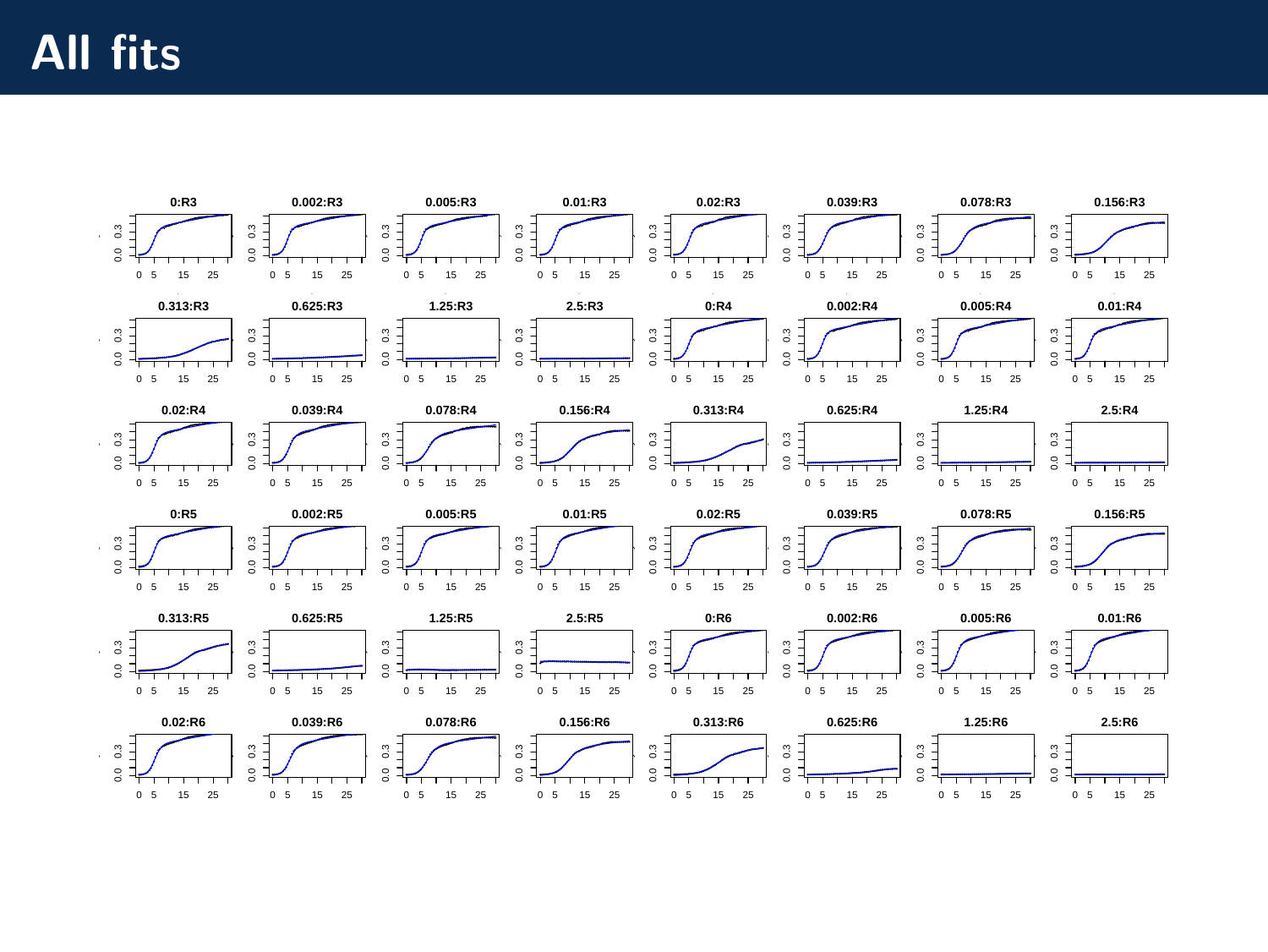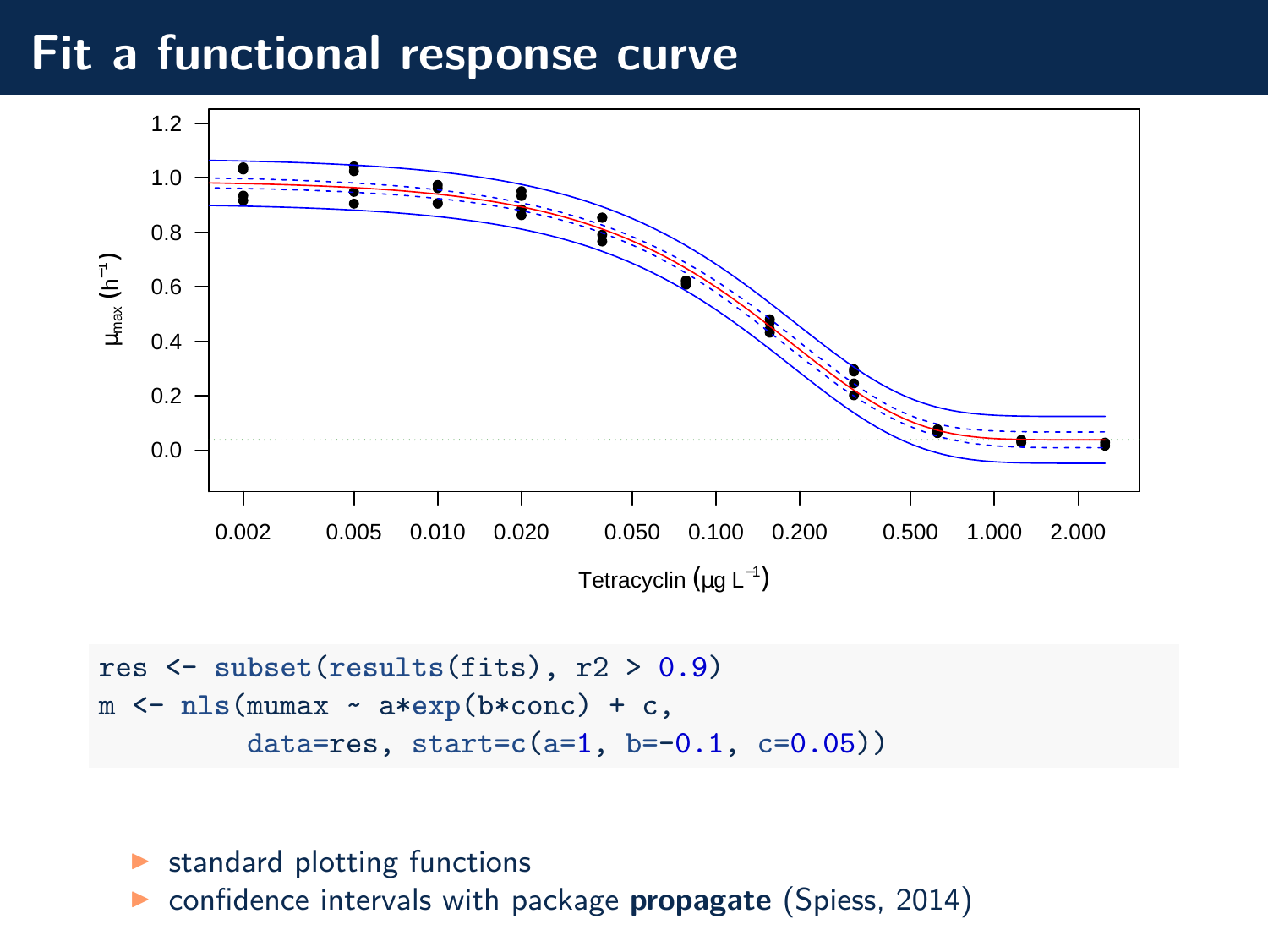## **Fit a functional response curve**



```
res <- subset(results(fits), r2 > 0.9)
m <- nls(mumax ~ a*exp(b*conc) + c,
         data=res, start=c(a=1, b=-0.1, c=0.05))
```
- $\blacktriangleright$  standard plotting functions
- ◮ confidence intervals with package **propagate** [\(Spiess, 2014\)](https://CRAN.R-project.org/package=propagate)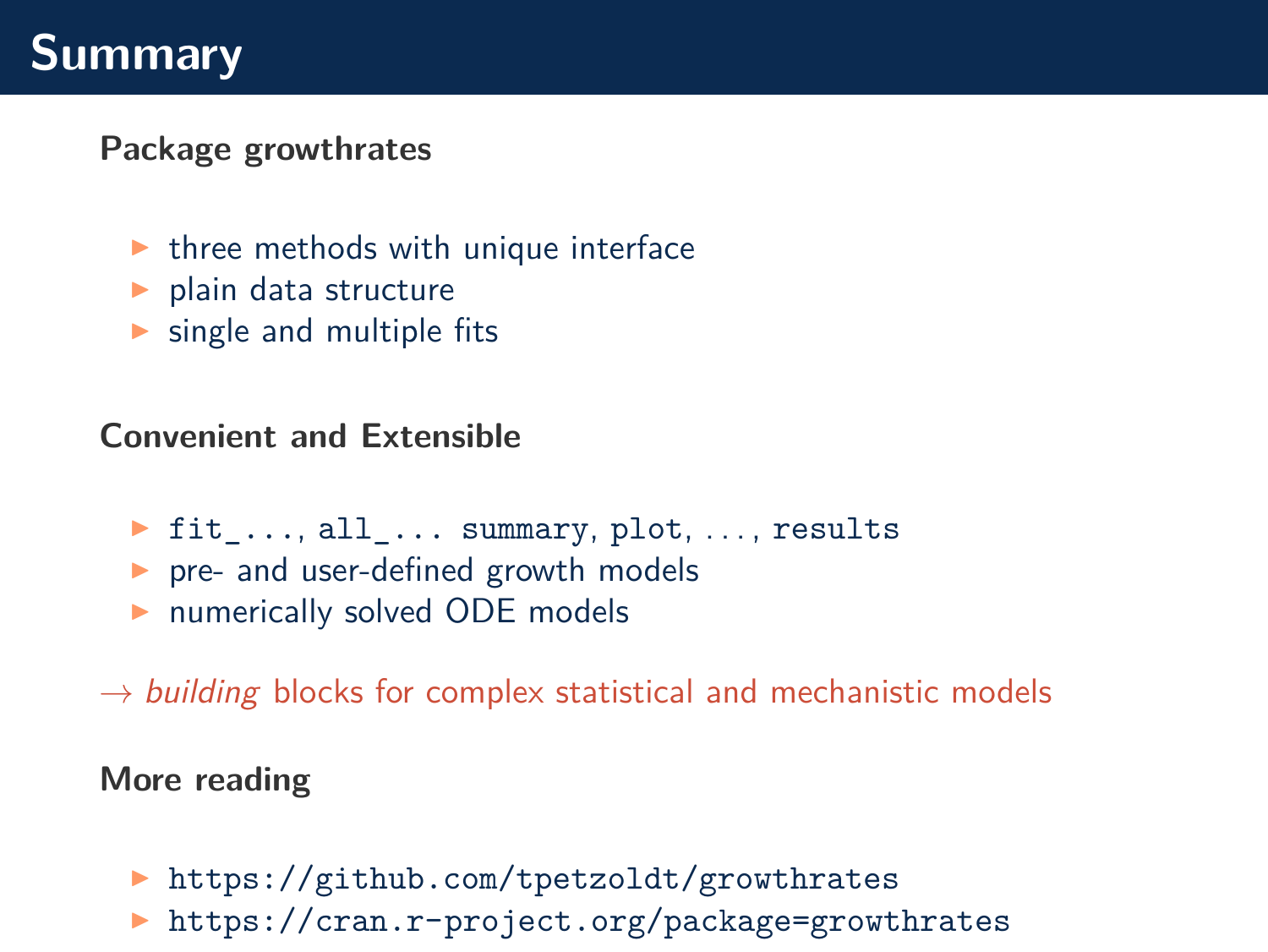# **Summary**

#### **Package growthrates**

- $\triangleright$  three methods with unique interface
- $\blacktriangleright$  plain data structure
- $\triangleright$  single and multiple fits

#### **Convenient and Extensible**

- ▶ fit ..., all ... summary, plot, ..., results
- ▶ pre- and user-defined growth models
- ▶ numerically solved ODE models
- $\rightarrow$  building blocks for complex statistical and mechanistic models

#### **More reading**

- ▶ <https://github.com/tpetzoldt/growthrates>
- ◮ <https://cran.r-project.org/package=growthrates>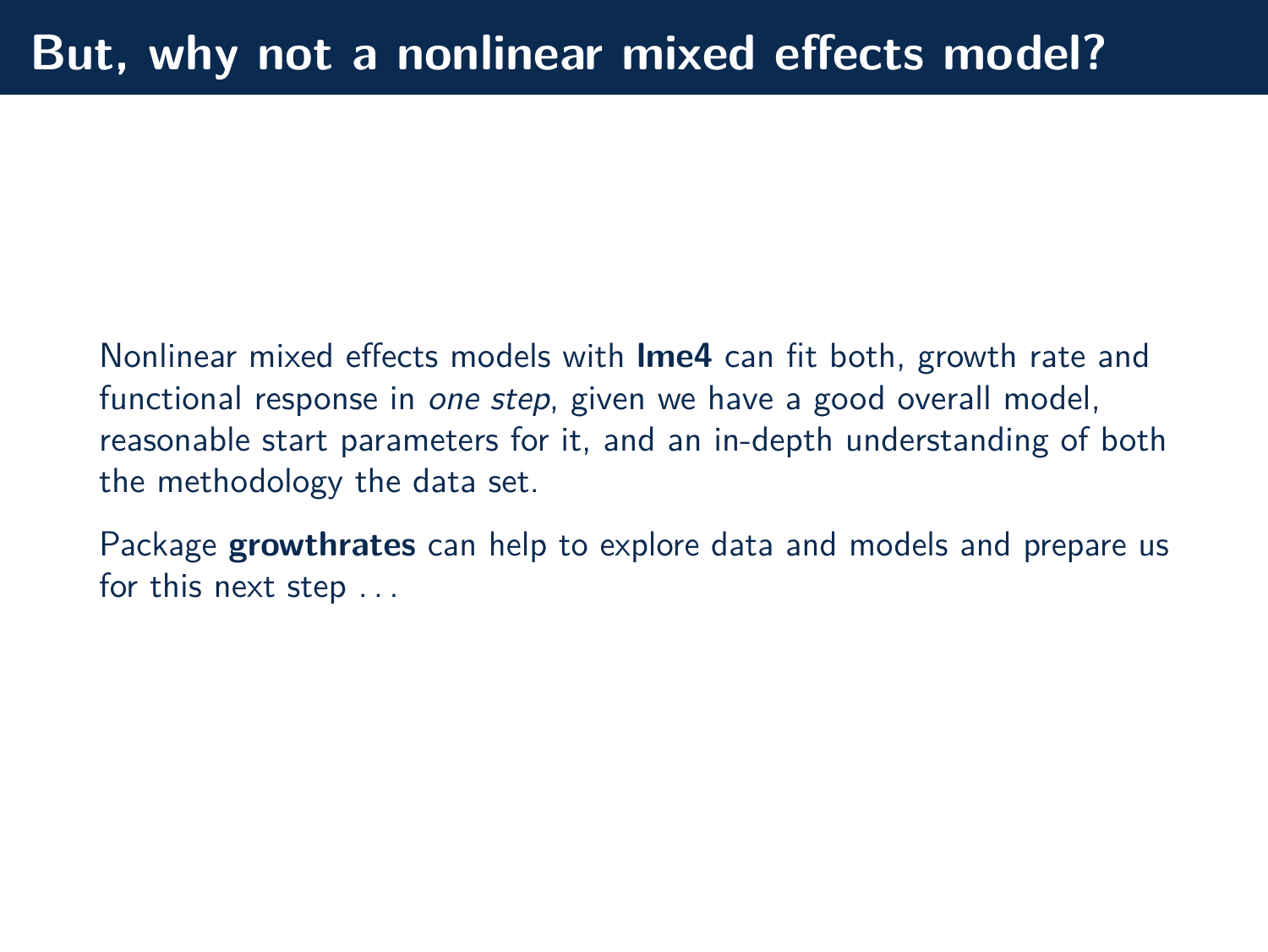Nonlinear mixed effects models with **lme4** can fit both, growth rate and functional response in one step, given we have a good overall model, reasonable start parameters for it, and an in-depth understanding of both the methodology the data set.

Package **growthrates** can help to explore data and models and prepare us for this next step . . .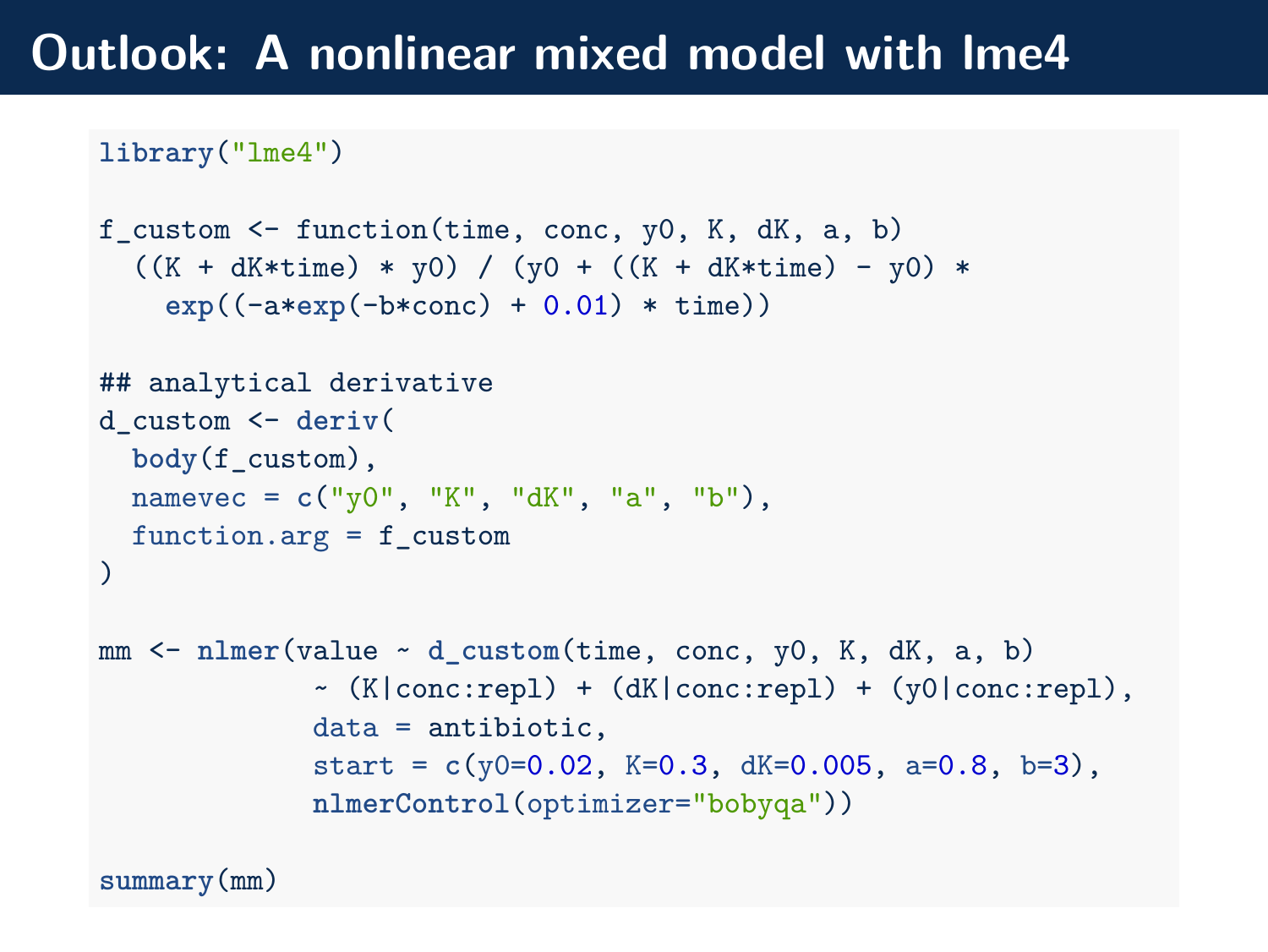## **Outlook: A nonlinear mixed model with lme4**

```
library("lme4")
```

```
f_custom \le function(time, conc, y0, K, dK, a, b)
  ((K + dK*time) * y0) / (y0 + ((K + dK*time) - y0) *exp((-a*exp(-b*conc) + 0.01) * time))
## analytical derivative
d_custom <- deriv(
  body(f_custom),
 namevec = c("y0", "K", "dK", "a", "b"),
 function.arg = f_{\text{custom}})
mm <- nlmer(value ~ d_custom(time, conc, y0, K, dK, a, b)
             \sim (K|conc:repl) + (dK|conc:repl) + (y0|conc:repl),
             data = antibiotic,
             start = c(y0=0.02, K=0.3, dK=0.005, a=0.8, b=3),
             nlmerControl(optimizer="bobyqa"))
```
**summary**(mm)